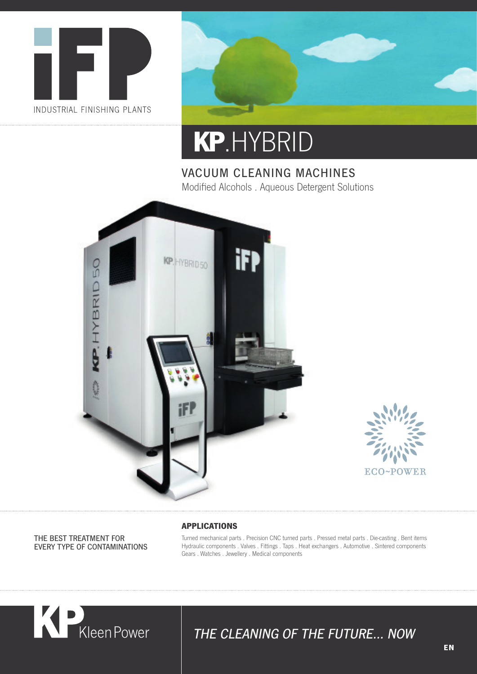



# **KP** .HYBRID

#### VACUUM CLEANING MACHINES Modified Alcohols . Aqueous Detergent Solutions





THE BEST TREATMENT FOR EVERY TYPE OF CONTAMINATIONS

#### **APPLICATIONS**

Turned mechanical parts . Precision CNC turned parts . Pressed metal parts . Die-casting . Bent items Hydraulic components . Valves . Fittings . Taps . Heat exchangers . Automotive . Sintered components Gears . Watches . Jewellery . Medical components



### THE CLEANING OF THE FUTURE… NOW